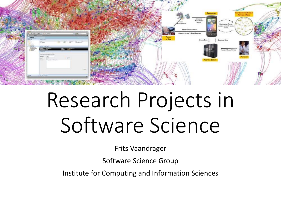

# Research Projects in Software Science

Frits Vaandrager

Software Science Group

Institute for Computing and Information Sciences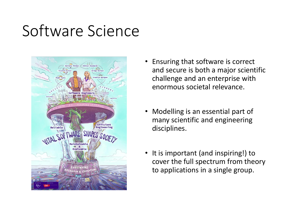### Software Science



- Ensuring that software is correct and secure is both a major scientific challenge and an enterprise with enormous societal relevance.
- Modelling is an essential part of many scientific and engineering disciplines.
- It is important (and inspiring!) to cover the full spectrum from theory to applications in a single group.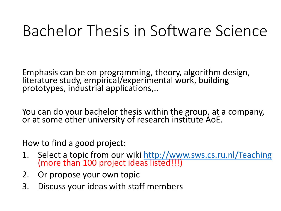### Bachelor Thesis in Software Science

Emphasis can be on programming, theory, algorithm design, literature study, empirical/experimental work, building prototypes, industrial applications,..

You can do your bachelor thesis within the group, at a company, or at some other university of research institute AoE.

How to find a good project:

- 1. Select a topic from our wiki<http://www.sws.cs.ru.nl/Teaching> (more than 100 project ideas listed!!!)
- 2. Or propose your own topic
- 3. Discuss your ideas with staff members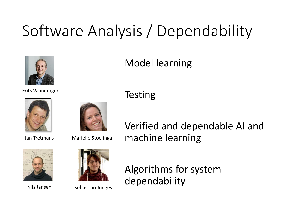## Software Analysis / Dependability

**Testing** 



### Model learning

#### Frits Vaandrager





Jan Tretmans Marielle Stoelinga





Nils Jansen Sebastian Junges

Verified and dependable AI and machine learning

Algorithms for system dependability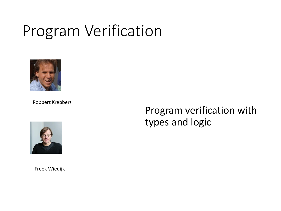### Program Verification



Robbert Krebbers



Program verification with types and logic

Freek Wiedijk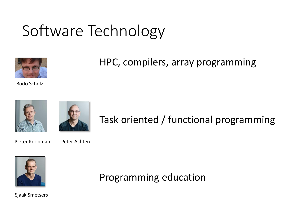### Software Technology



HPC, compilers, array programming

Bodo Scholz





### Task oriented / functional programming

Pieter Koopman Peter Achten



Programming education

Sjaak Smetsers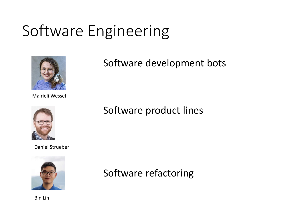### Software Engineering



Mairieli Wessel



Daniel Strueber



Software development bots

#### Software product lines

Software refactoring

Bin Lin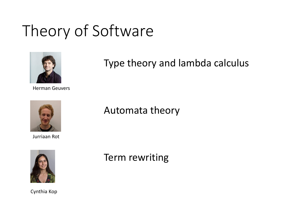### Theory of Software



Herman Geuvers



Jurriaan Rot



Cynthia Kop

#### Type theory and lambda calculus

Automata theory

Term rewriting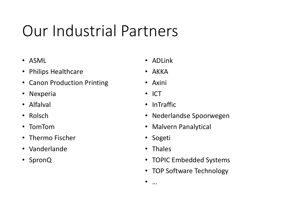### Our Industrial Partners

- ASML
- Philips Healthcare
- Canon Production Printing
- Nexperia
- Alfalval
- Rolsch
- TomTom
- Thermo Fischer
- Vanderlande
- SpronQ
- ADLink
- AKKA
- Axini
- ICT
- InTraffic
- Nederlandse Spoorwegen
- Malvern Panalytical
- Sogeti
- Thales
- TOPIC Embedded Systems
- TOP Software Technology
- …